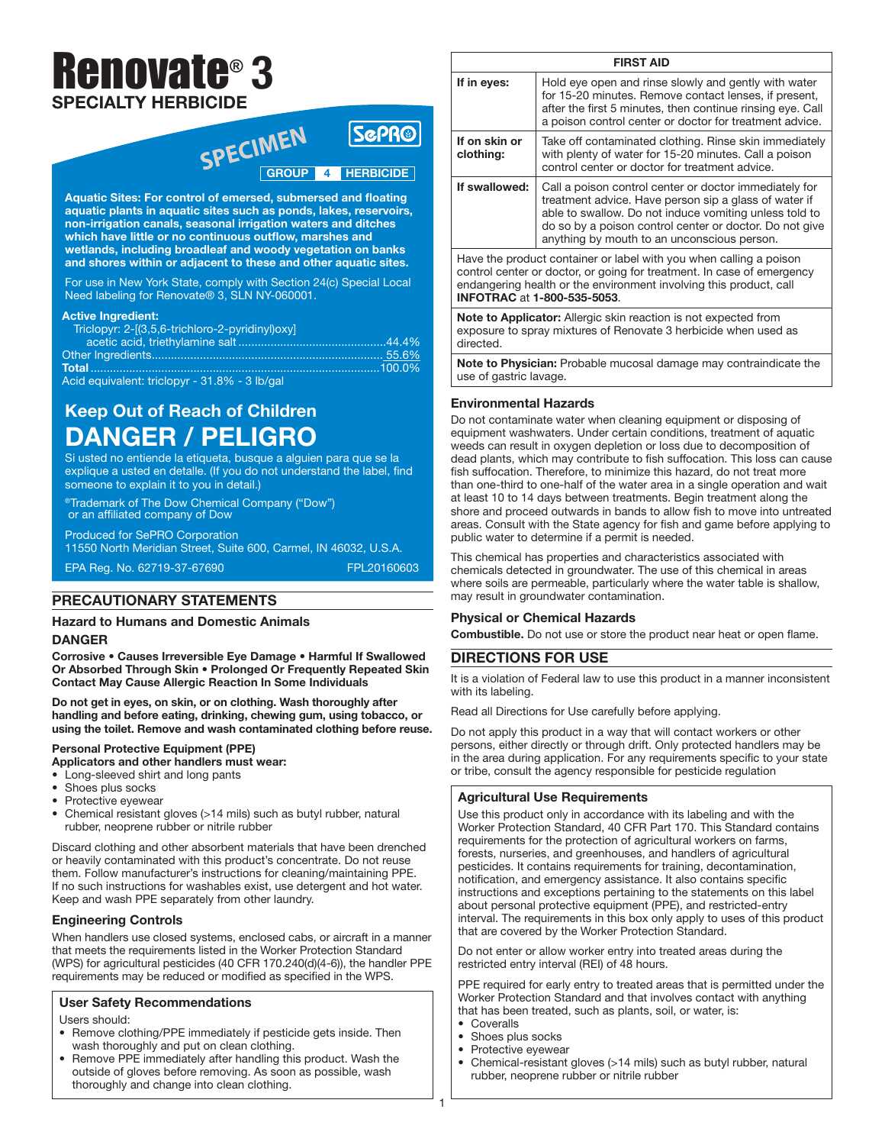# Renovate® 3 SPECIALTY HERBICIDE

## SPECIMEN SEPRO **ScPR®**

Aquatic Sites: For control of emersed, submersed and floating aquatic plants in aquatic sites such as ponds, lakes, reservoirs, non-irrigation canals, seasonal irrigation waters and ditches which have little or no continuous outflow, marshes and wetlands, including broadleaf and woody vegetation on banks and shores within or adjacent to these and other aquatic sites.

For use in New York State, comply with Section 24(c) Special Local Need labeling for Renovate® 3, SLN NY-060001.

#### Active Ingredient:

| Triclopyr: 2-[(3,5,6-trichloro-2-pyridinyl)oxy] |  |
|-------------------------------------------------|--|
|                                                 |  |
|                                                 |  |
|                                                 |  |
| Acid equivalent: triclopyr - 31.8% - 3 lb/gal   |  |

## Keep Out of Reach of Children DANGER / PELIGRO

Si usted no entiende la etiqueta, busque a alguien para que se la explique a usted en detalle. (If you do not understand the label, find someone to explain it to you in detail.)

®Trademark of The Dow Chemical Company ("Dow") or an affiliated company of Dow

Produced for SePRO Corporation 11550 North Meridian Street, Suite 600, Carmel, IN 46032, U.S.A.

EPA Reg. No. 62719-37-67690 FPL20160603

## PRECAUTIONARY STATEMENTS

## Hazard to Humans and Domestic Animals DANGER

Corrosive • Causes Irreversible Eye Damage • Harmful If Swallowed Or Absorbed Through Skin • Prolonged Or Frequently Repeated Skin Contact May Cause Allergic Reaction In Some Individuals

Do not get in eyes, on skin, or on clothing. Wash thoroughly after handling and before eating, drinking, chewing gum, using tobacco, or using the toilet. Remove and wash contaminated clothing before reuse.

## Personal Protective Equipment (PPE)

Applicators and other handlers must wear:

• Long-sleeved shirt and long pants

- Shoes plus socks
- Protective eyewear
- Chemical resistant gloves (>14 mils) such as butyl rubber, natural rubber, neoprene rubber or nitrile rubber

Discard clothing and other absorbent materials that have been drenched or heavily contaminated with this product's concentrate. Do not reuse them. Follow manufacturer's instructions for cleaning/maintaining PPE. If no such instructions for washables exist, use detergent and hot water. Keep and wash PPE separately from other laundry.

## Engineering Controls

When handlers use closed systems, enclosed cabs, or aircraft in a manner that meets the requirements listed in the Worker Protection Standard (WPS) for agricultural pesticides (40 CFR 170.240(d)(4-6)), the handler PPE requirements may be reduced or modified as specified in the WPS.

## User Safety Recommendations

Users should:

- Remove clothing/PPE immediately if pesticide gets inside. Then wash thoroughly and put on clean clothing.
- Remove PPE immediately after handling this product. Wash the outside of gloves before removing. As soon as possible, wash thoroughly and change into clean clothing.

| <b>FIRST AID</b>                                                                                                                                                                                                                                         |                                                                                                                                                                                                                                                                                     |  |  |  |
|----------------------------------------------------------------------------------------------------------------------------------------------------------------------------------------------------------------------------------------------------------|-------------------------------------------------------------------------------------------------------------------------------------------------------------------------------------------------------------------------------------------------------------------------------------|--|--|--|
| If in eyes:                                                                                                                                                                                                                                              | Hold eye open and rinse slowly and gently with water<br>for 15-20 minutes. Remove contact lenses, if present,<br>after the first 5 minutes, then continue rinsing eye. Call<br>a poison control center or doctor for treatment advice.                                              |  |  |  |
| If on skin or<br>clothing:                                                                                                                                                                                                                               | Take off contaminated clothing. Rinse skin immediately<br>with plenty of water for 15-20 minutes. Call a poison<br>control center or doctor for treatment advice.                                                                                                                   |  |  |  |
| If swallowed:                                                                                                                                                                                                                                            | Call a poison control center or doctor immediately for<br>treatment advice. Have person sip a glass of water if<br>able to swallow. Do not induce vomiting unless told to<br>do so by a poison control center or doctor. Do not give<br>anything by mouth to an unconscious person. |  |  |  |
| Have the product container or label with you when calling a poison<br>control center or doctor, or going for treatment. In case of emergency<br>endangering health or the environment involving this product, call<br><b>INFOTRAC at 1-800-535-5053.</b> |                                                                                                                                                                                                                                                                                     |  |  |  |
| .                                                                                                                                                                                                                                                        |                                                                                                                                                                                                                                                                                     |  |  |  |

Note to Applicator: Allergic skin reaction is not expected from exposure to spray mixtures of Renovate 3 herbicide when used as directed.

Note to Physician: Probable mucosal damage may contraindicate the use of gastric lavage.

## Environmental Hazards

Do not contaminate water when cleaning equipment or disposing of equipment washwaters. Under certain conditions, treatment of aquatic weeds can result in oxygen depletion or loss due to decomposition of dead plants, which may contribute to fish suffocation. This loss can cause fish suffocation. Therefore, to minimize this hazard, do not treat more than one-third to one-half of the water area in a single operation and wait at least 10 to 14 days between treatments. Begin treatment along the shore and proceed outwards in bands to allow fish to move into untreated areas. Consult with the State agency for fish and game before applying to public water to determine if a permit is needed.

This chemical has properties and characteristics associated with chemicals detected in groundwater. The use of this chemical in areas where soils are permeable, particularly where the water table is shallow, may result in groundwater contamination.

## Physical or Chemical Hazards

Combustible. Do not use or store the product near heat or open flame.

## DIRECTIONS FOR USE

It is a violation of Federal law to use this product in a manner inconsistent with its labeling.

Read all Directions for Use carefully before applying.

Do not apply this product in a way that will contact workers or other persons, either directly or through drift. Only protected handlers may be in the area during application. For any requirements specific to your state or tribe, consult the agency responsible for pesticide regulation

## Agricultural Use Requirements

Use this product only in accordance with its labeling and with the Worker Protection Standard, 40 CFR Part 170. This Standard contains requirements for the protection of agricultural workers on farms, forests, nurseries, and greenhouses, and handlers of agricultural pesticides. It contains requirements for training, decontamination, notification, and emergency assistance. It also contains specific instructions and exceptions pertaining to the statements on this label about personal protective equipment (PPE), and restricted-entry interval. The requirements in this box only apply to uses of this product that are covered by the Worker Protection Standard.

Do not enter or allow worker entry into treated areas during the restricted entry interval (REI) of 48 hours.

PPE required for early entry to treated areas that is permitted under the Worker Protection Standard and that involves contact with anything that has been treated, such as plants, soil, or water, is:

• Coveralls

1

- Shoes plus socks
- Protective eyewear
- Chemical-resistant gloves (>14 mils) such as butyl rubber, natural rubber, neoprene rubber or nitrile rubber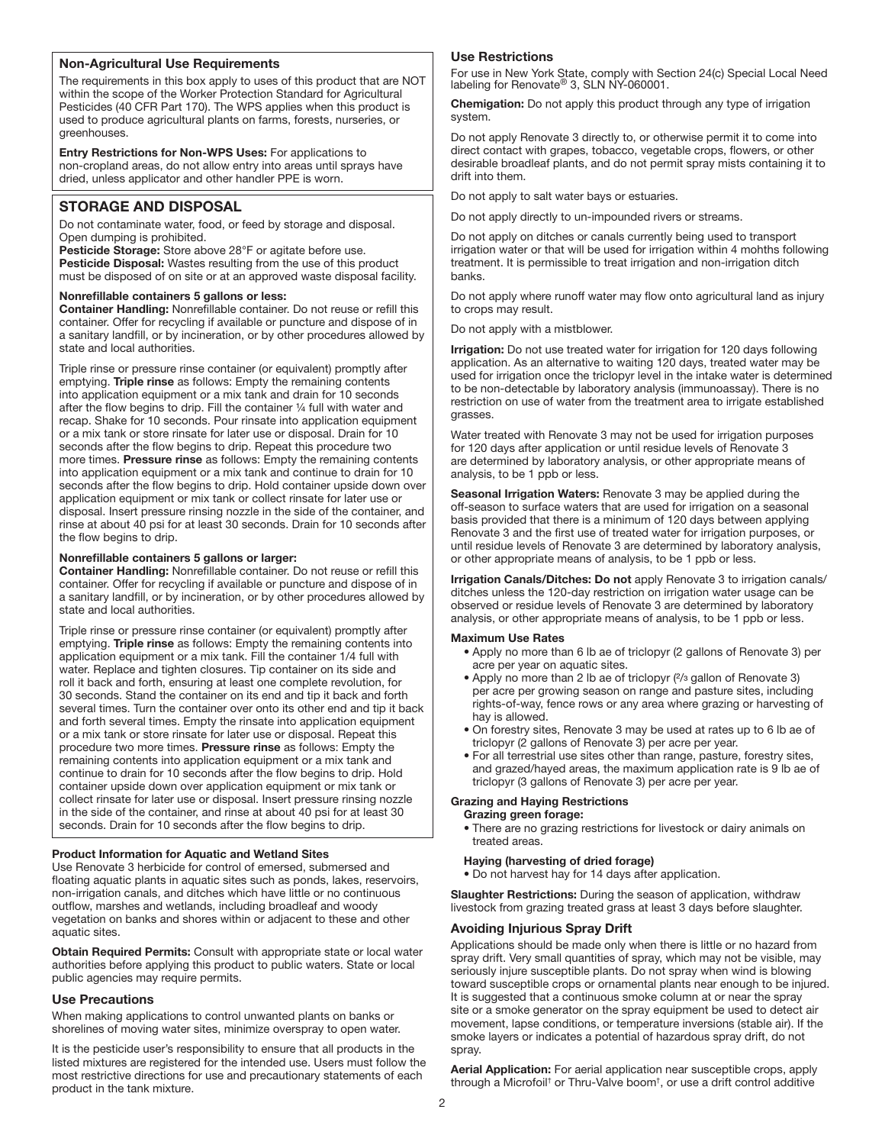## Non-Agricultural Use Requirements

The requirements in this box apply to uses of this product that are NOT within the scope of the Worker Protection Standard for Agricultural Pesticides (40 CFR Part 170). The WPS applies when this product is used to produce agricultural plants on farms, forests, nurseries, or greenhouses.

Entry Restrictions for Non-WPS Uses: For applications to non-cropland areas, do not allow entry into areas until sprays have dried, unless applicator and other handler PPE is worn.

## STORAGE AND DISPOSAL

Do not contaminate water, food, or feed by storage and disposal. Open dumping is prohibited.

Pesticide Storage: Store above 28°F or agitate before use. Pesticide Disposal: Wastes resulting from the use of this product must be disposed of on site or at an approved waste disposal facility.

#### Nonrefillable containers 5 gallons or less:

Container Handling: Nonrefillable container. Do not reuse or refill this container. Offer for recycling if available or puncture and dispose of in a sanitary landfill, or by incineration, or by other procedures allowed by state and local authorities.

Triple rinse or pressure rinse container (or equivalent) promptly after emptying. Triple rinse as follows: Empty the remaining contents into application equipment or a mix tank and drain for 10 seconds after the flow begins to drip. Fill the container 1/4 full with water and recap. Shake for 10 seconds. Pour rinsate into application equipment or a mix tank or store rinsate for later use or disposal. Drain for 10 seconds after the flow begins to drip. Repeat this procedure two more times. Pressure rinse as follows: Empty the remaining contents into application equipment or a mix tank and continue to drain for 10 seconds after the flow begins to drip. Hold container upside down over application equipment or mix tank or collect rinsate for later use or disposal. Insert pressure rinsing nozzle in the side of the container, and rinse at about 40 psi for at least 30 seconds. Drain for 10 seconds after the flow begins to drip.

#### Nonrefillable containers 5 gallons or larger:

Container Handling: Nonrefillable container. Do not reuse or refill this container. Offer for recycling if available or puncture and dispose of in a sanitary landfill, or by incineration, or by other procedures allowed by state and local authorities.

Triple rinse or pressure rinse container (or equivalent) promptly after emptying. Triple rinse as follows: Empty the remaining contents into application equipment or a mix tank. Fill the container 1/4 full with water. Replace and tighten closures. Tip container on its side and roll it back and forth, ensuring at least one complete revolution, for 30 seconds. Stand the container on its end and tip it back and forth several times. Turn the container over onto its other end and tip it back and forth several times. Empty the rinsate into application equipment or a mix tank or store rinsate for later use or disposal. Repeat this procedure two more times. Pressure rinse as follows: Empty the remaining contents into application equipment or a mix tank and continue to drain for 10 seconds after the flow begins to drip. Hold container upside down over application equipment or mix tank or collect rinsate for later use or disposal. Insert pressure rinsing nozzle in the side of the container, and rinse at about 40 psi for at least 30 seconds. Drain for 10 seconds after the flow begins to drip.

#### Product Information for Aquatic and Wetland Sites

Use Renovate 3 herbicide for control of emersed, submersed and floating aquatic plants in aquatic sites such as ponds, lakes, reservoirs, non-irrigation canals, and ditches which have little or no continuous outflow, marshes and wetlands, including broadleaf and woody vegetation on banks and shores within or adjacent to these and other aquatic sites.

Obtain Required Permits: Consult with appropriate state or local water authorities before applying this product to public waters. State or local public agencies may require permits.

#### Use Precautions

When making applications to control unwanted plants on banks or shorelines of moving water sites, minimize overspray to open water.

It is the pesticide user's responsibility to ensure that all products in the listed mixtures are registered for the intended use. Users must follow the most restrictive directions for use and precautionary statements of each product in the tank mixture.

#### Use Restrictions

For use in New York State, comply with Section 24(c) Special Local Need labeling for Renovate® 3, SLN NY-060001.

Chemigation: Do not apply this product through any type of irrigation system.

Do not apply Renovate 3 directly to, or otherwise permit it to come into direct contact with grapes, tobacco, vegetable crops, flowers, or other desirable broadleaf plants, and do not permit spray mists containing it to drift into them.

Do not apply to salt water bays or estuaries.

Do not apply directly to un-impounded rivers or streams.

Do not apply on ditches or canals currently being used to transport irrigation water or that will be used for irrigation within 4 mohths following treatment. It is permissible to treat irrigation and non-irrigation ditch banks.

Do not apply where runoff water may flow onto agricultural land as injury to crops may result.

Do not apply with a mistblower.

**Irrigation:** Do not use treated water for irrigation for 120 days following application. As an alternative to waiting 120 days, treated water may be used for irrigation once the triclopyr level in the intake water is determined to be non-detectable by laboratory analysis (immunoassay). There is no restriction on use of water from the treatment area to irrigate established grasses.

Water treated with Renovate 3 may not be used for irrigation purposes for 120 days after application or until residue levels of Renovate 3 are determined by laboratory analysis, or other appropriate means of analysis, to be 1 ppb or less.

Seasonal Irrigation Waters: Renovate 3 may be applied during the off-season to surface waters that are used for irrigation on a seasonal basis provided that there is a minimum of 120 days between applying Renovate 3 and the first use of treated water for irrigation purposes, or until residue levels of Renovate 3 are determined by laboratory analysis, or other appropriate means of analysis, to be 1 ppb or less.

Irrigation Canals/Ditches: Do not apply Renovate 3 to irrigation canals/ ditches unless the 120-day restriction on irrigation water usage can be observed or residue levels of Renovate 3 are determined by laboratory analysis, or other appropriate means of analysis, to be 1 ppb or less.

#### Maximum Use Rates

- Apply no more than 6 lb ae of triclopyr (2 gallons of Renovate 3) per acre per year on aquatic sites.
- Apply no more than 2 lb ae of triclopyr (2/3 gallon of Renovate 3) per acre per growing season on range and pasture sites, including rights-of-way, fence rows or any area where grazing or harvesting of hay is allowed.
- On forestry sites, Renovate 3 may be used at rates up to 6 lb ae of triclopyr (2 gallons of Renovate 3) per acre per year.
- For all terrestrial use sites other than range, pasture, forestry sites, and grazed/hayed areas, the maximum application rate is 9 lb ae of triclopyr (3 gallons of Renovate 3) per acre per year.

## Grazing and Haying Restrictions

- Grazing green forage:
- There are no grazing restrictions for livestock or dairy animals on treated areas.

#### Haying (harvesting of dried forage)

• Do not harvest hay for 14 days after application.

Slaughter Restrictions: During the season of application, withdraw livestock from grazing treated grass at least 3 days before slaughter.

#### Avoiding Injurious Spray Drift

Applications should be made only when there is little or no hazard from spray drift. Very small quantities of spray, which may not be visible, may seriously injure susceptible plants. Do not spray when wind is blowing toward susceptible crops or ornamental plants near enough to be injured. It is suggested that a continuous smoke column at or near the spray site or a smoke generator on the spray equipment be used to detect air movement, lapse conditions, or temperature inversions (stable air). If the smoke layers or indicates a potential of hazardous spray drift, do not spray.

Aerial Application: For aerial application near susceptible crops, apply through a Microfoil<sup>†</sup> or Thru-Valve boom<sup>†</sup>, or use a drift control additive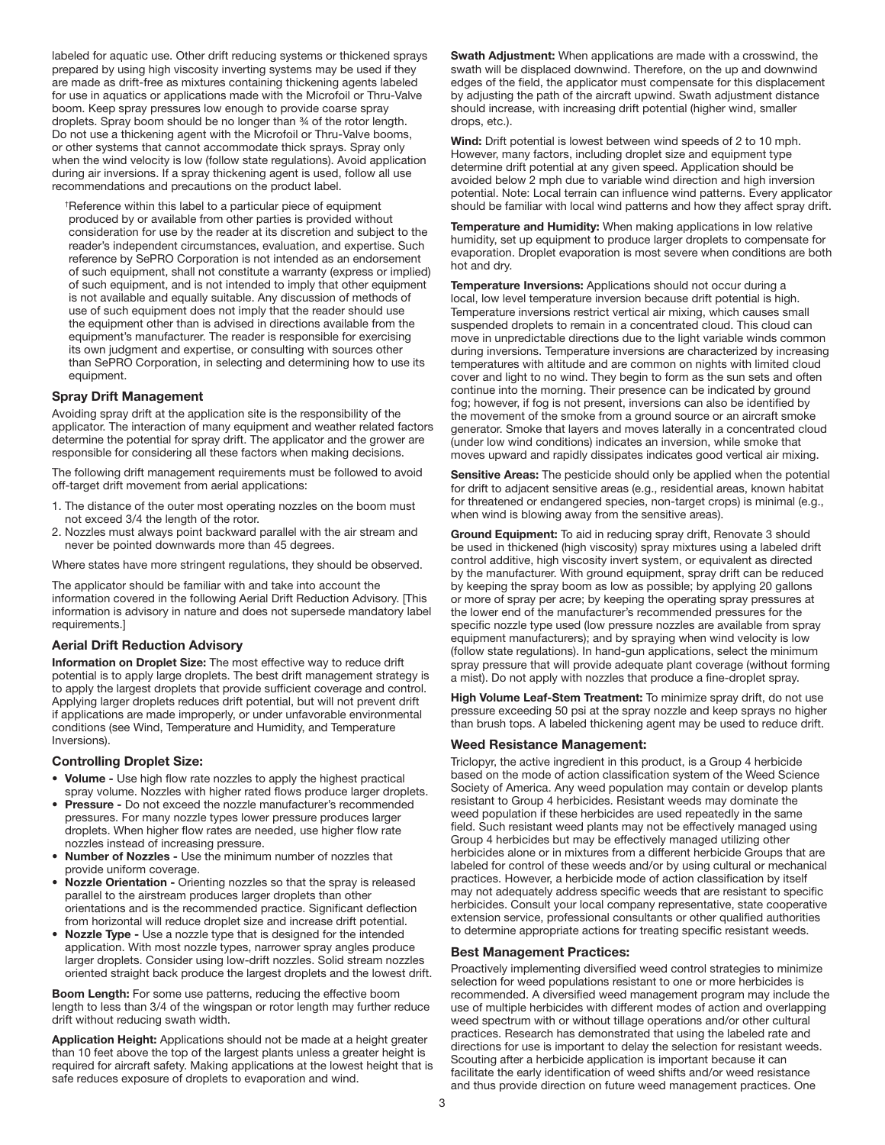labeled for aquatic use. Other drift reducing systems or thickened sprays prepared by using high viscosity inverting systems may be used if they are made as drift-free as mixtures containing thickening agents labeled for use in aquatics or applications made with the Microfoil or Thru-Valve boom. Keep spray pressures low enough to provide coarse spray droplets. Spray boom should be no longer than 34 of the rotor length. Do not use a thickening agent with the Microfoil or Thru-Valve booms, or other systems that cannot accommodate thick sprays. Spray only when the wind velocity is low (follow state regulations). Avoid application during air inversions. If a spray thickening agent is used, follow all use recommendations and precautions on the product label.

† Reference within this label to a particular piece of equipment produced by or available from other parties is provided without consideration for use by the reader at its discretion and subject to the reader's independent circumstances, evaluation, and expertise. Such reference by SePRO Corporation is not intended as an endorsement of such equipment, shall not constitute a warranty (express or implied) of such equipment, and is not intended to imply that other equipment is not available and equally suitable. Any discussion of methods of use of such equipment does not imply that the reader should use the equipment other than is advised in directions available from the equipment's manufacturer. The reader is responsible for exercising its own judgment and expertise, or consulting with sources other than SePRO Corporation, in selecting and determining how to use its equipment.

#### Spray Drift Management

Avoiding spray drift at the application site is the responsibility of the applicator. The interaction of many equipment and weather related factors determine the potential for spray drift. The applicator and the grower are responsible for considering all these factors when making decisions.

The following drift management requirements must be followed to avoid off-target drift movement from aerial applications:

- 1. The distance of the outer most operating nozzles on the boom must not exceed 3/4 the length of the rotor.
- 2. Nozzles must always point backward parallel with the air stream and never be pointed downwards more than 45 degrees.

Where states have more stringent regulations, they should be observed.

The applicator should be familiar with and take into account the information covered in the following Aerial Drift Reduction Advisory. [This information is advisory in nature and does not supersede mandatory label requirements.]

## Aerial Drift Reduction Advisory

Information on Droplet Size: The most effective way to reduce drift potential is to apply large droplets. The best drift management strategy is to apply the largest droplets that provide sufficient coverage and control. Applying larger droplets reduces drift potential, but will not prevent drift if applications are made improperly, or under unfavorable environmental conditions (see Wind, Temperature and Humidity, and Temperature Inversions).

#### Controlling Droplet Size:

- Volume Use high flow rate nozzles to apply the highest practical spray volume. Nozzles with higher rated flows produce larger droplets.
- Pressure Do not exceed the nozzle manufacturer's recommended pressures. For many nozzle types lower pressure produces larger droplets. When higher flow rates are needed, use higher flow rate nozzles instead of increasing pressure.
- Number of Nozzles Use the minimum number of nozzles that provide uniform coverage.
- Nozzle Orientation Orienting nozzles so that the spray is released parallel to the airstream produces larger droplets than other orientations and is the recommended practice. Significant deflection from horizontal will reduce droplet size and increase drift potential.
- Nozzle Type Use a nozzle type that is designed for the intended application. With most nozzle types, narrower spray angles produce larger droplets. Consider using low-drift nozzles. Solid stream nozzles oriented straight back produce the largest droplets and the lowest drift.

Boom Length: For some use patterns, reducing the effective boom length to less than 3/4 of the wingspan or rotor length may further reduce drift without reducing swath width.

Application Height: Applications should not be made at a height greater than 10 feet above the top of the largest plants unless a greater height is required for aircraft safety. Making applications at the lowest height that is safe reduces exposure of droplets to evaporation and wind.

Swath Adjustment: When applications are made with a crosswind, the swath will be displaced downwind. Therefore, on the up and downwind edges of the field, the applicator must compensate for this displacement by adjusting the path of the aircraft upwind. Swath adjustment distance should increase, with increasing drift potential (higher wind, smaller drops, etc.).

Wind: Drift potential is lowest between wind speeds of 2 to 10 mph. However, many factors, including droplet size and equipment type determine drift potential at any given speed. Application should be avoided below 2 mph due to variable wind direction and high inversion potential. Note: Local terrain can influence wind patterns. Every applicator should be familiar with local wind patterns and how they affect spray drift.

Temperature and Humidity: When making applications in low relative humidity, set up equipment to produce larger droplets to compensate for evaporation. Droplet evaporation is most severe when conditions are both hot and dry.

Temperature Inversions: Applications should not occur during a local, low level temperature inversion because drift potential is high. Temperature inversions restrict vertical air mixing, which causes small suspended droplets to remain in a concentrated cloud. This cloud can move in unpredictable directions due to the light variable winds common during inversions. Temperature inversions are characterized by increasing temperatures with altitude and are common on nights with limited cloud cover and light to no wind. They begin to form as the sun sets and often continue into the morning. Their presence can be indicated by ground fog; however, if fog is not present, inversions can also be identified by the movement of the smoke from a ground source or an aircraft smoke generator. Smoke that layers and moves laterally in a concentrated cloud (under low wind conditions) indicates an inversion, while smoke that moves upward and rapidly dissipates indicates good vertical air mixing.

Sensitive Areas: The pesticide should only be applied when the potential for drift to adjacent sensitive areas (e.g., residential areas, known habitat for threatened or endangered species, non-target crops) is minimal (e.g., when wind is blowing away from the sensitive areas).

Ground Equipment: To aid in reducing spray drift, Renovate 3 should be used in thickened (high viscosity) spray mixtures using a labeled drift control additive, high viscosity invert system, or equivalent as directed by the manufacturer. With ground equipment, spray drift can be reduced by keeping the spray boom as low as possible; by applying 20 gallons or more of spray per acre; by keeping the operating spray pressures at the lower end of the manufacturer's recommended pressures for the specific nozzle type used (low pressure nozzles are available from spray equipment manufacturers); and by spraying when wind velocity is low (follow state regulations). In hand-gun applications, select the minimum spray pressure that will provide adequate plant coverage (without forming a mist). Do not apply with nozzles that produce a fine-droplet spray.

High Volume Leaf-Stem Treatment: To minimize spray drift, do not use pressure exceeding 50 psi at the spray nozzle and keep sprays no higher than brush tops. A labeled thickening agent may be used to reduce drift.

## Weed Resistance Management:

Triclopyr, the active ingredient in this product, is a Group 4 herbicide based on the mode of action classification system of the Weed Science Society of America. Any weed population may contain or develop plants resistant to Group 4 herbicides. Resistant weeds may dominate the weed population if these herbicides are used repeatedly in the same field. Such resistant weed plants may not be effectively managed using Group 4 herbicides but may be effectively managed utilizing other herbicides alone or in mixtures from a different herbicide Groups that are labeled for control of these weeds and/or by using cultural or mechanical practices. However, a herbicide mode of action classification by itself may not adequately address specific weeds that are resistant to specific herbicides. Consult your local company representative, state cooperative extension service, professional consultants or other qualified authorities to determine appropriate actions for treating specific resistant weeds.

#### Best Management Practices:

Proactively implementing diversified weed control strategies to minimize selection for weed populations resistant to one or more herbicides is recommended. A diversified weed management program may include the use of multiple herbicides with different modes of action and overlapping weed spectrum with or without tillage operations and/or other cultural practices. Research has demonstrated that using the labeled rate and directions for use is important to delay the selection for resistant weeds. Scouting after a herbicide application is important because it can facilitate the early identification of weed shifts and/or weed resistance and thus provide direction on future weed management practices. One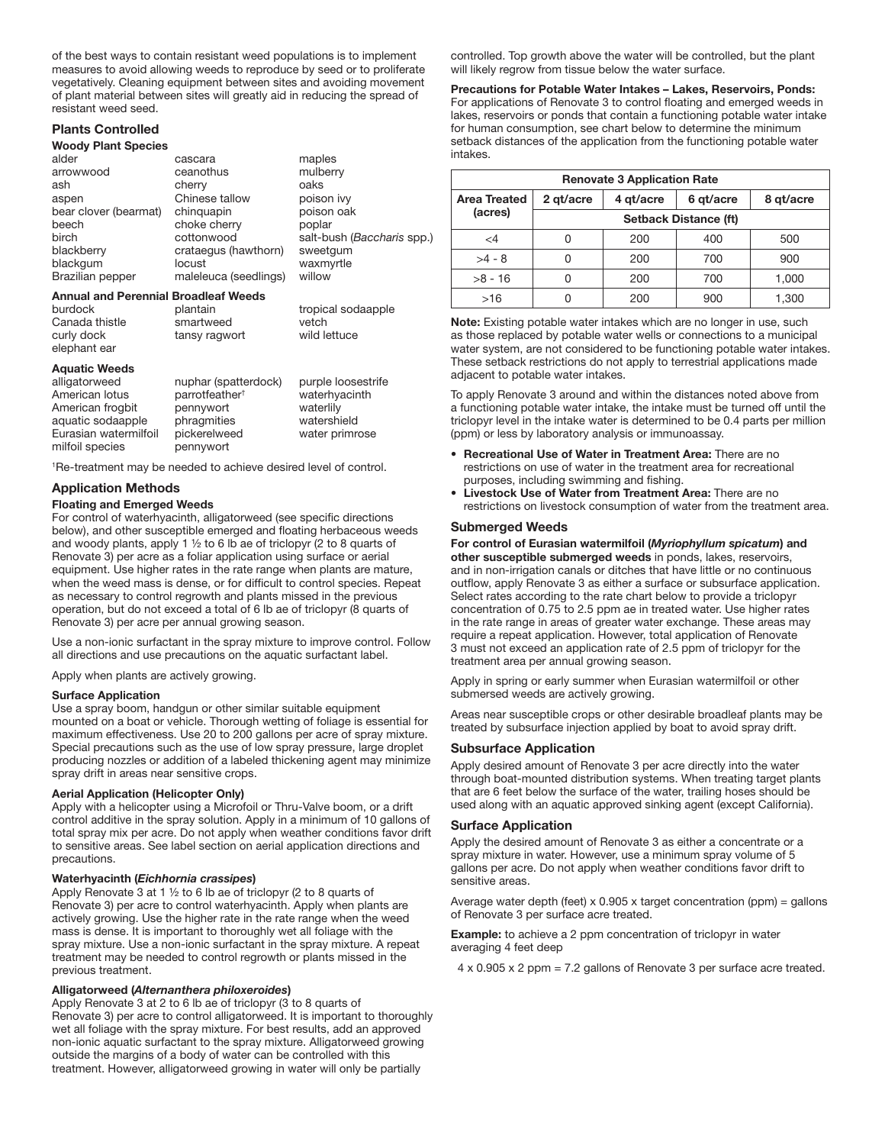of the best ways to contain resistant weed populations is to implement measures to avoid allowing weeds to reproduce by seed or to proliferate vegetatively. Cleaning equipment between sites and avoiding movement of plant material between sites will greatly aid in reducing the spread of resistant weed seed.

## Plants Controlled

#### Woody Plant Species

| alder                 | cascara               | maples                     |
|-----------------------|-----------------------|----------------------------|
| arrowwood             | ceanothus             | mulberry                   |
| ash                   | cherry                | oaks                       |
| aspen                 | Chinese tallow        | poison ivy                 |
| bear clover (bearmat) | chinguapin            | poison oak                 |
| beech                 | choke cherry          | poplar                     |
| birch                 | cottonwood            | salt-bush (Baccharis spp.) |
| blackberry            | crataegus (hawthorn)  | sweetgum                   |
| blackgum              | locust                | waxmyrtle                  |
| Brazilian pepper      | maleleuca (seedlings) | willow                     |
|                       |                       |                            |

#### Annual and Perennial Broadleaf Weeds

| burdock        | plantain      | tropical sodaapple |
|----------------|---------------|--------------------|
| Canada thistle | smartweed     | vetch              |
| curly dock     | tansy ragwort | wild lettuce       |
| elephant ear   |               |                    |

#### Aquatic Weeds

| alligatorweed         | nuphar (spatterdock)       | purple loosestrife |
|-----------------------|----------------------------|--------------------|
| American lotus        | parrotfeather <sup>+</sup> | waterhyacinth      |
| American frogbit      | pennywort                  | waterlily          |
| aquatic sodaapple     | phragmities                | watershield        |
| Eurasian watermilfoil | pickerelweed               | water primrose     |
| milfoil species       | pennywort                  |                    |

1 Re-treatment may be needed to achieve desired level of control.

## Application Methods

#### Floating and Emerged Weeds

For control of waterhyacinth, alligatorweed (see specific directions below), and other susceptible emerged and floating herbaceous weeds and woody plants, apply 1  $\frac{1}{2}$  to 6 lb ae of triclopyr (2 to 8 quarts of Renovate 3) per acre as a foliar application using surface or aerial equipment. Use higher rates in the rate range when plants are mature, when the weed mass is dense, or for difficult to control species. Repeat as necessary to control regrowth and plants missed in the previous operation, but do not exceed a total of 6 lb ae of triclopyr (8 quarts of Renovate 3) per acre per annual growing season.

Use a non-ionic surfactant in the spray mixture to improve control. Follow all directions and use precautions on the aquatic surfactant label.

Apply when plants are actively growing.

#### Surface Application

Use a spray boom, handgun or other similar suitable equipment mounted on a boat or vehicle. Thorough wetting of foliage is essential for maximum effectiveness. Use 20 to 200 gallons per acre of spray mixture. Special precautions such as the use of low spray pressure, large droplet producing nozzles or addition of a labeled thickening agent may minimize spray drift in areas near sensitive crops.

#### Aerial Application (Helicopter Only)

Apply with a helicopter using a Microfoil or Thru-Valve boom, or a drift control additive in the spray solution. Apply in a minimum of 10 gallons of total spray mix per acre. Do not apply when weather conditions favor drift to sensitive areas. See label section on aerial application directions and precautions.

#### Waterhyacinth (*Eichhornia crassipes*)

Apply Renovate 3 at 1  $\frac{1}{2}$  to 6 lb ae of triclopyr (2 to 8 quarts of Renovate 3) per acre to control waterhyacinth. Apply when plants are actively growing. Use the higher rate in the rate range when the weed mass is dense. It is important to thoroughly wet all foliage with the spray mixture. Use a non-ionic surfactant in the spray mixture. A repeat treatment may be needed to control regrowth or plants missed in the previous treatment.

#### Alligatorweed (*Alternanthera philoxeroides*)

Apply Renovate 3 at 2 to 6 lb ae of triclopyr (3 to 8 quarts of Renovate 3) per acre to control alligatorweed. It is important to thoroughly wet all foliage with the spray mixture. For best results, add an approved non-ionic aquatic surfactant to the spray mixture. Alligatorweed growing outside the margins of a body of water can be controlled with this treatment. However, alligatorweed growing in water will only be partially

controlled. Top growth above the water will be controlled, but the plant will likely regrow from tissue below the water surface.

Precautions for Potable Water Intakes – Lakes, Reservoirs, Ponds: For applications of Renovate 3 to control floating and emerged weeds in lakes, reservoirs or ponds that contain a functioning potable water intake for human consumption, see chart below to determine the minimum setback distances of the application from the functioning potable water intakes.

| <b>Renovate 3 Application Rate</b> |                              |                        |     |           |  |
|------------------------------------|------------------------------|------------------------|-----|-----------|--|
| <b>Area Treated</b>                | 2 gt/acre                    | 4 gt/acre<br>6 gt/acre |     | 8 gt/acre |  |
| (acres)                            | <b>Setback Distance (ft)</b> |                        |     |           |  |
| $\epsilon$ 4                       |                              | 200                    | 400 | 500       |  |
| $>4 - 8$                           |                              | 200                    | 700 | 900       |  |
| $>8 - 16$                          |                              | 200                    | 700 | 1,000     |  |
| >16                                |                              | 200                    | 900 | 1.300     |  |

Note: Existing potable water intakes which are no longer in use, such as those replaced by potable water wells or connections to a municipal water system, are not considered to be functioning potable water intakes. These setback restrictions do not apply to terrestrial applications made adjacent to potable water intakes.

To apply Renovate 3 around and within the distances noted above from a functioning potable water intake, the intake must be turned off until the triclopyr level in the intake water is determined to be 0.4 parts per million (ppm) or less by laboratory analysis or immunoassay.

- Recreational Use of Water in Treatment Area: There are no restrictions on use of water in the treatment area for recreational purposes, including swimming and fishing.
- Livestock Use of Water from Treatment Area: There are no restrictions on livestock consumption of water from the treatment area.

#### Submerged Weeds

For control of Eurasian watermilfoil (*Myriophyllum spicatum*) and other susceptible submerged weeds in ponds, lakes, reservoirs, and in non-irrigation canals or ditches that have little or no continuous outflow, apply Renovate 3 as either a surface or subsurface application. Select rates according to the rate chart below to provide a triclopyr concentration of 0.75 to 2.5 ppm ae in treated water. Use higher rates in the rate range in areas of greater water exchange. These areas may require a repeat application. However, total application of Renovate 3 must not exceed an application rate of 2.5 ppm of triclopyr for the treatment area per annual growing season.

Apply in spring or early summer when Eurasian watermilfoil or other submersed weeds are actively growing.

Areas near susceptible crops or other desirable broadleaf plants may be treated by subsurface injection applied by boat to avoid spray drift.

#### Subsurface Application

Apply desired amount of Renovate 3 per acre directly into the water through boat-mounted distribution systems. When treating target plants that are 6 feet below the surface of the water, trailing hoses should be used along with an aquatic approved sinking agent (except California).

#### Surface Application

Apply the desired amount of Renovate 3 as either a concentrate or a spray mixture in water. However, use a minimum spray volume of 5 gallons per acre. Do not apply when weather conditions favor drift to sensitive areas.

Average water depth (feet) x 0.905 x target concentration (ppm) = gallons of Renovate 3 per surface acre treated.

**Example:** to achieve a 2 ppm concentration of triclopyr in water averaging 4 feet deep

4 x 0.905 x 2 ppm = 7.2 gallons of Renovate 3 per surface acre treated.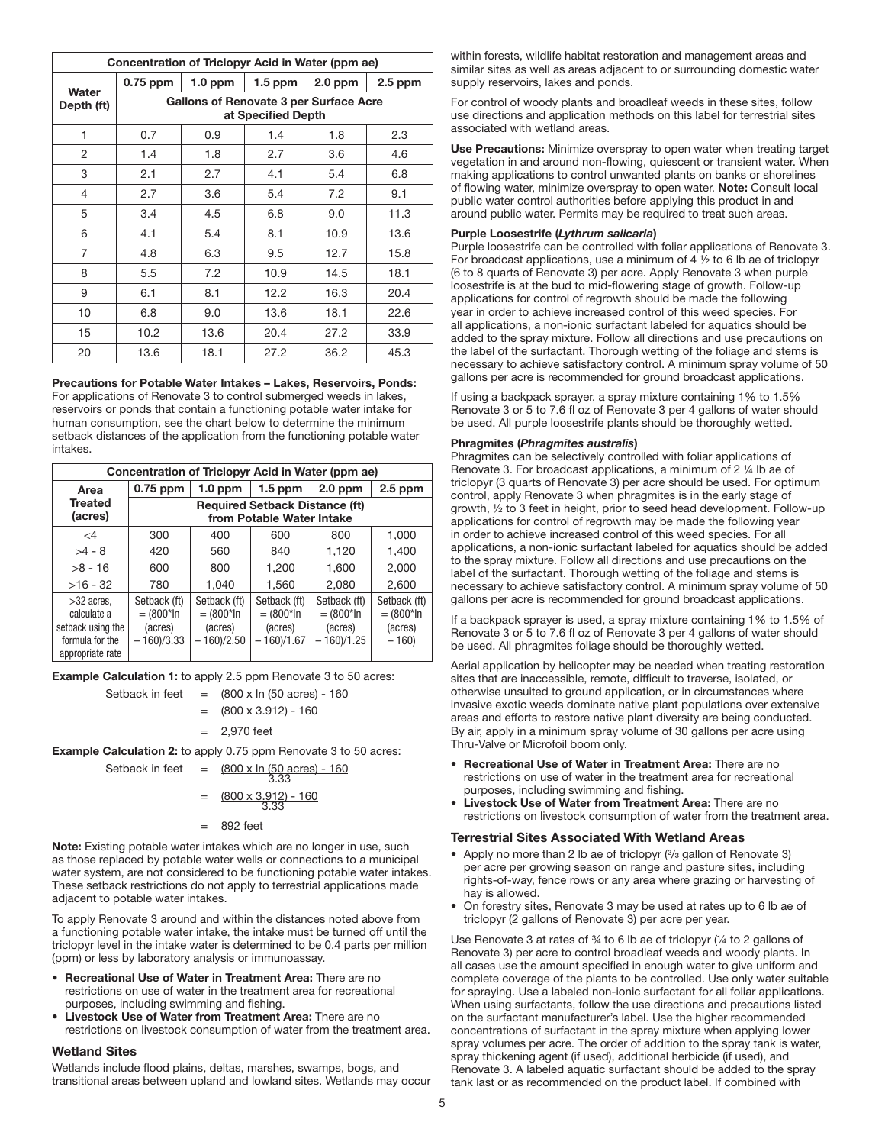| Concentration of Triclopyr Acid in Water (ppm ae) |                                                              |           |           |           |           |  |
|---------------------------------------------------|--------------------------------------------------------------|-----------|-----------|-----------|-----------|--|
| Water                                             | $0.75$ ppm                                                   | $1.0$ ppm | $1.5$ ppm | $2.0$ ppm | $2.5$ ppm |  |
| Depth (ft)                                        | Gallons of Renovate 3 per Surface Acre<br>at Specified Depth |           |           |           |           |  |
| 1                                                 | 0.7                                                          | 0.9       | 1.4       | 1.8       | 2.3       |  |
| 2                                                 | 1.4                                                          | 1.8       | 2.7       | 3.6       | 4.6       |  |
| 3                                                 | 2.1                                                          | 2.7       | 4.1       | 5.4       | 6.8       |  |
| $\overline{4}$                                    | 2.7                                                          | 3.6       | 5.4       | 7.2       | 9.1       |  |
| 5                                                 | 3.4                                                          | 4.5       | 6.8       | 9.0       | 11.3      |  |
| 6                                                 | 4.1                                                          | 5.4       | 8.1       | 10.9      | 13.6      |  |
| $\overline{7}$                                    | 4.8                                                          | 6.3       | 9.5       | 12.7      | 15.8      |  |
| 8                                                 | 5.5                                                          | 7.2       | 10.9      | 14.5      | 18.1      |  |
| 9                                                 | 6.1                                                          | 8.1       | 12.2      | 16.3      | 20.4      |  |
| 10                                                | 6.8                                                          | 9.0       | 13.6      | 18.1      | 22.6      |  |
| 15                                                | 10.2                                                         | 13.6      | 20.4      | 27.2      | 33.9      |  |
| 20                                                | 13.6                                                         | 18.1      | 27.2      | 36.2      | 45.3      |  |

Precautions for Potable Water Intakes – Lakes, Reservoirs, Ponds: For applications of Renovate 3 to control submerged weeds in lakes, reservoirs or ponds that contain a functioning potable water intake for human consumption, see the chart below to determine the minimum setback distances of the application from the functioning potable water intakes.

| Concentration of Triclopyr Acid in Water (ppm ae)                                       |                                                                    |                                                       |                                                          |                                                         |                                                   |  |
|-----------------------------------------------------------------------------------------|--------------------------------------------------------------------|-------------------------------------------------------|----------------------------------------------------------|---------------------------------------------------------|---------------------------------------------------|--|
| Area                                                                                    | $1.5$ ppm<br>$2.0$ ppm<br>$0.75$ ppm<br>$1.0$ ppm<br>$2.5$ ppm     |                                                       |                                                          |                                                         |                                                   |  |
| <b>Treated</b><br>(acres)                                                               | <b>Required Setback Distance (ft)</b><br>from Potable Water Intake |                                                       |                                                          |                                                         |                                                   |  |
| $\leq$ 4                                                                                | 300                                                                | 400                                                   | 600                                                      | 800                                                     | 1,000                                             |  |
| $>4 - 8$                                                                                | 420                                                                | 560                                                   | 840                                                      | 1,120                                                   | 1.400                                             |  |
| $>8 - 16$                                                                               | 600                                                                | 800                                                   | 1.200                                                    | 1.600                                                   | 2,000                                             |  |
| $>16 - 32$                                                                              | 780                                                                | 1.040                                                 | 1.560                                                    | 2.080                                                   | 2.600                                             |  |
| $>32$ acres.<br>calculate a<br>setback using the<br>formula for the<br>appropriate rate | Setback (ft)<br>$= (800*ln$<br>(acres)<br>$-160/3.33$              | Setback (ft)<br>$= (800*ln$<br>(acres)<br>$-160/2.50$ | Setback (ft)<br>$= (800*ln)$<br>(acres)<br>$-160$ )/1.67 | Setback (ft)<br>$= (800*ln$<br>(acres)<br>$-160$ )/1.25 | Setback (ft)<br>$= (800*ln)$<br>(acres)<br>$-160$ |  |

Example Calculation 1: to apply 2.5 ppm Renovate 3 to 50 acres:

Setback in feet  $=$  (800 x ln (50 acres) - 160

$$
= (800 \times 3.912) - 160
$$
  
= 2.970 feet

Example Calculation 2: to apply 0.75 ppm Renovate 3 to 50 acres:

Setback in feet  $=$   $(800 \times \ln(50 \text{ acres}) - 160$ 

$$
= \frac{(800 \times 3.912) - 160}{3.33}
$$

= 892 feet

Note: Existing potable water intakes which are no longer in use, such as those replaced by potable water wells or connections to a municipal water system, are not considered to be functioning potable water intakes. These setback restrictions do not apply to terrestrial applications made adjacent to potable water intakes.

To apply Renovate 3 around and within the distances noted above from a functioning potable water intake, the intake must be turned off until the triclopyr level in the intake water is determined to be 0.4 parts per million (ppm) or less by laboratory analysis or immunoassay.

- Recreational Use of Water in Treatment Area: There are no restrictions on use of water in the treatment area for recreational purposes, including swimming and fishing.
- Livestock Use of Water from Treatment Area: There are no restrictions on livestock consumption of water from the treatment area.

## Wetland Sites

Wetlands include flood plains, deltas, marshes, swamps, bogs, and transitional areas between upland and lowland sites. Wetlands may occur

within forests, wildlife habitat restoration and management areas and similar sites as well as areas adjacent to or surrounding domestic water supply reservoirs, lakes and ponds.

For control of woody plants and broadleaf weeds in these sites, follow use directions and application methods on this label for terrestrial sites associated with wetland areas.

Use Precautions: Minimize overspray to open water when treating target vegetation in and around non-flowing, quiescent or transient water. When making applications to control unwanted plants on banks or shorelines of flowing water, minimize overspray to open water. Note: Consult local public water control authorities before applying this product in and around public water. Permits may be required to treat such areas.

## Purple Loosestrife (*Lythrum salicaria*)

Purple loosestrife can be controlled with foliar applications of Renovate 3. For broadcast applications, use a minimum of  $4\frac{1}{2}$  to 6 lb ae of triclopyr (6 to 8 quarts of Renovate 3) per acre. Apply Renovate 3 when purple loosestrife is at the bud to mid-flowering stage of growth. Follow-up applications for control of regrowth should be made the following year in order to achieve increased control of this weed species. For all applications, a non-ionic surfactant labeled for aquatics should be added to the spray mixture. Follow all directions and use precautions on the label of the surfactant. Thorough wetting of the foliage and stems is necessary to achieve satisfactory control. A minimum spray volume of 50 gallons per acre is recommended for ground broadcast applications.

If using a backpack sprayer, a spray mixture containing 1% to 1.5% Renovate 3 or 5 to 7.6 fl oz of Renovate 3 per 4 gallons of water should be used. All purple loosestrife plants should be thoroughly wetted.

#### Phragmites (*Phragmites australis*)

Phragmites can be selectively controlled with foliar applications of Renovate 3. For broadcast applications, a minimum of 2 1/4 lb ae of triclopyr (3 quarts of Renovate 3) per acre should be used. For optimum control, apply Renovate 3 when phragmites is in the early stage of growth, ½ to 3 feet in height, prior to seed head development. Follow-up applications for control of regrowth may be made the following year in order to achieve increased control of this weed species. For all applications, a non-ionic surfactant labeled for aquatics should be added to the spray mixture. Follow all directions and use precautions on the label of the surfactant. Thorough wetting of the foliage and stems is necessary to achieve satisfactory control. A minimum spray volume of 50 gallons per acre is recommended for ground broadcast applications.

If a backpack sprayer is used, a spray mixture containing 1% to 1.5% of Renovate 3 or 5 to 7.6 fl oz of Renovate 3 per 4 gallons of water should be used. All phragmites foliage should be thoroughly wetted.

Aerial application by helicopter may be needed when treating restoration sites that are inaccessible, remote, difficult to traverse, isolated, or otherwise unsuited to ground application, or in circumstances where invasive exotic weeds dominate native plant populations over extensive areas and efforts to restore native plant diversity are being conducted. By air, apply in a minimum spray volume of 30 gallons per acre using Thru-Valve or Microfoil boom only.

- Recreational Use of Water in Treatment Area: There are no restrictions on use of water in the treatment area for recreational purposes, including swimming and fishing.
- Livestock Use of Water from Treatment Area: There are no restrictions on livestock consumption of water from the treatment area.

## Terrestrial Sites Associated With Wetland Areas

- Apply no more than 2 lb ae of triclopyr ( $\frac{2}{3}$  gallon of Renovate 3) per acre per growing season on range and pasture sites, including rights-of-way, fence rows or any area where grazing or harvesting of hay is allowed.
- On forestry sites, Renovate 3 may be used at rates up to 6 lb ae of triclopyr (2 gallons of Renovate 3) per acre per year.

Use Renovate 3 at rates of  $\frac{3}{4}$  to 6 lb ae of triclopyr ( $\frac{1}{4}$  to 2 gallons of Renovate 3) per acre to control broadleaf weeds and woody plants. In all cases use the amount specified in enough water to give uniform and complete coverage of the plants to be controlled. Use only water suitable for spraying. Use a labeled non-ionic surfactant for all foliar applications. When using surfactants, follow the use directions and precautions listed on the surfactant manufacturer's label. Use the higher recommended concentrations of surfactant in the spray mixture when applying lower spray volumes per acre. The order of addition to the spray tank is water, spray thickening agent (if used), additional herbicide (if used), and Renovate 3. A labeled aquatic surfactant should be added to the spray tank last or as recommended on the product label. If combined with